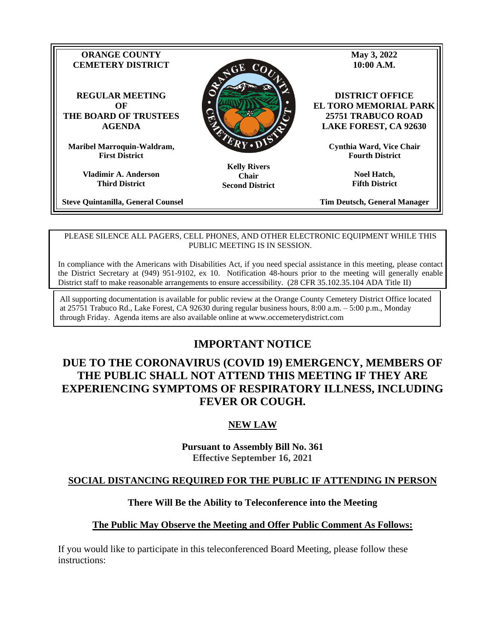

**Chair Second District**

**Third District**

**Steve Quintanilla, General Counsel**

**Tim Deutsch, General Manager**

**Fifth District**

#### PLEASE SILENCE ALL PAGERS, CELL PHONES, AND OTHER ELECTRONIC EQUIPMENT WHILE THIS PUBLIC MEETING IS IN SESSION.

In compliance with the Americans with Disabilities Act, if you need special assistance in this meeting, please contact the District Secretary at (949) 951-9102, ex 10. Notification 48-hours prior to the meeting will generally enable District staff to make reasonable arrangements to ensure accessibility. (28 CFR 35.102.35.104 ADA Title II)

All supporting documentation is available for public review at the Orange County Cemetery District Office located at 25751 Trabuco Rd., Lake Forest, CA 92630 during regular business hours, 8:00 a.m. – 5:00 p.m., Monday through Friday. Agenda items are also available online at www.occemeterydistrict.com

# **IMPORTANT NOTICE**

# **DUE TO THE CORONAVIRUS (COVID 19) EMERGENCY, MEMBERS OF THE PUBLIC SHALL NOT ATTEND THIS MEETING IF THEY ARE EXPERIENCING SYMPTOMS OF RESPIRATORY ILLNESS, INCLUDING FEVER OR COUGH.**

# **NEW LAW**

**Pursuant to Assembly Bill No. 361 Effective September 16, 2021**

#### **SOCIAL DISTANCING REQUIRED FOR THE PUBLIC IF ATTENDING IN PERSON**

#### **There Will Be the Ability to Teleconference into the Meeting**

#### **The Public May Observe the Meeting and Offer Public Comment As Follows:**

If you would like to participate in this teleconferenced Board Meeting, please follow these instructions: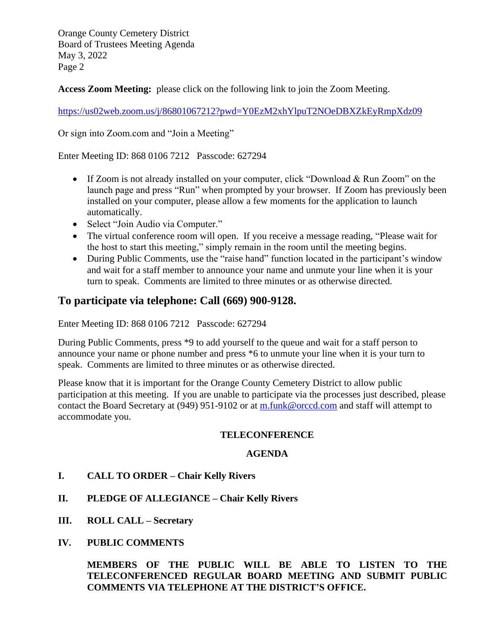**Access Zoom Meeting:** please click on the following link to join the Zoom Meeting.

<https://us02web.zoom.us/j/86801067212?pwd=Y0EzM2xhYlpuT2NOeDBXZkEyRmpXdz09>

Or sign into Zoom.com and "Join a Meeting"

Enter Meeting ID: 868 0106 7212 Passcode: 627294

- If Zoom is not already installed on your computer, click "Download & Run Zoom" on the launch page and press "Run" when prompted by your browser. If Zoom has previously been installed on your computer, please allow a few moments for the application to launch automatically.
- Select "Join Audio via Computer."
- The virtual conference room will open. If you receive a message reading, "Please wait for the host to start this meeting," simply remain in the room until the meeting begins.
- During Public Comments, use the "raise hand" function located in the participant's window and wait for a staff member to announce your name and unmute your line when it is your turn to speak. Comments are limited to three minutes or as otherwise directed.

# **To participate via telephone: Call (669) 900-9128.**

Enter Meeting ID: 868 0106 7212 Passcode: 627294

During Public Comments, press \*9 to add yourself to the queue and wait for a staff person to announce your name or phone number and press \*6 to unmute your line when it is your turn to speak. Comments are limited to three minutes or as otherwise directed.

Please know that it is important for the Orange County Cemetery District to allow public participation at this meeting. If you are unable to participate via the processes just described, please contact the Board Secretary at (949) 951-9102 or at [m.funk@orccd.com](mailto:m.funk@orccd.com) and staff will attempt to accommodate you.

#### **TELECONFERENCE**

#### **AGENDA**

- **I. CALL TO ORDER – Chair Kelly Rivers**
- **II. PLEDGE OF ALLEGIANCE – Chair Kelly Rivers**
- **III. ROLL CALL – Secretary**
- **IV. PUBLIC COMMENTS**

**MEMBERS OF THE PUBLIC WILL BE ABLE TO LISTEN TO THE TELECONFERENCED REGULAR BOARD MEETING AND SUBMIT PUBLIC COMMENTS VIA TELEPHONE AT THE DISTRICT'S OFFICE.**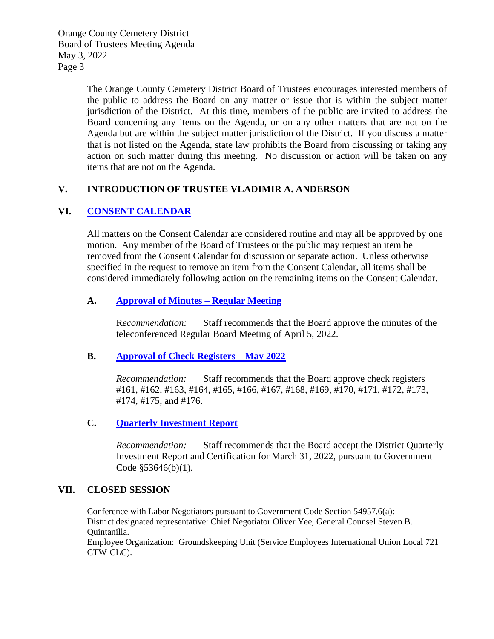> The Orange County Cemetery District Board of Trustees encourages interested members of the public to address the Board on any matter or issue that is within the subject matter jurisdiction of the District. At this time, members of the public are invited to address the Board concerning any items on the Agenda, or on any other matters that are not on the Agenda but are within the subject matter jurisdiction of the District. If you discuss a matter that is not listed on the Agenda, state law prohibits the Board from discussing or taking any action on such matter during this meeting. No discussion or action will be taken on any items that are not on the Agenda.

#### **V. INTRODUCTION OF TRUSTEE VLADIMIR A. ANDERSON**

#### **VI. CONSENT [CALENDAR](http://occemeterydistrict.com/images/occd2/agendas/2022%20Agendas/050322RegBrdMtg/Consent%20Calendar%20Memo.pdf)**

All matters on the Consent Calendar are considered routine and may all be approved by one motion. Any member of the Board of Trustees or the public may request an item be removed from the Consent Calendar for discussion or separate action. Unless otherwise specified in the request to remove an item from the Consent Calendar, all items shall be considered immediately following action on the remaining items on the Consent Calendar.

#### **A. Approval [of Minutes –](http://occemeterydistrict.com/images/occd2/agendas/2022%20Agendas/050322RegBrdMtg/4-5-22%20Meeting%20Minutes.pdf) Regular Meeting**

R*ecommendation:* Staff recommends that the Board approve the minutes of the teleconferenced Regular Board Meeting of April 5, 2022.

#### **B. Approval [of Check Registers –](http://occemeterydistrict.com/images/occd2/agendas/2022%20Agendas/050322RegBrdMtg/May%202022%20Check%20Register.pdf) May 2022**

*Recommendation:* Staff recommends that the Board approve check registers #161, #162, #163, #164, #165, #166, #167, #168, #169, #170, #171, #172, #173, #174, #175, and #176.

### **C. Quarterly [Investment](http://occemeterydistrict.com/images/occd2/agendas/2022%20Agendas/050322RegBrdMtg/Quarterly%20Investment%20Report%20-%20March%2031%2C%202022.pdf) Report**

*Recommendation:* Staff recommends that the Board accept the District Quarterly Investment Report and Certification for March 31, 2022, pursuant to Government Code §53646(b)(1).

#### **VII. CLOSED SESSION**

Conference with Labor Negotiators pursuant to Government Code Section 54957.6(a): District designated representative: Chief Negotiator Oliver Yee, General Counsel Steven B. Quintanilla. Employee Organization: Groundskeeping Unit (Service Employees International Union Local 721 CTW-CLC).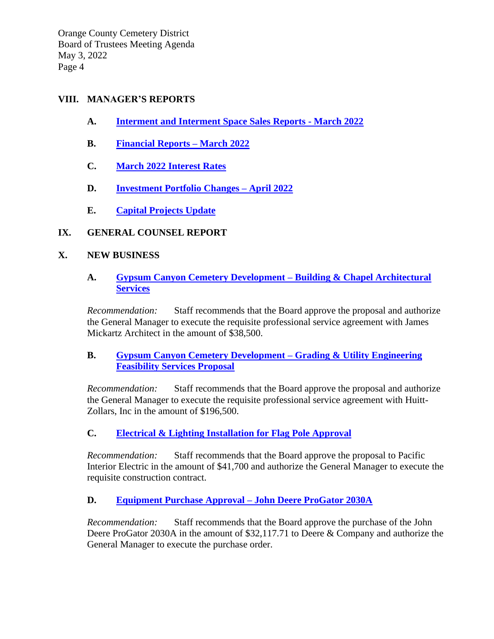#### **VIII. MANAGER'S REPORTS**

- **A. Interment [and Interment Space Sales](http://occemeterydistrict.com/images/occd2/agendas/2022%20Agendas/050322RegBrdMtg/Monthly%20Activity%20Report%20-%20March%202022.pdf) Reports - March 2022**
- **B. [Financial](http://occemeterydistrict.com/images/occd2/agendas/2022%20Agendas/050322RegBrdMtg/March%202022%20Financial%20Report.pdf) Reports – March 2022**
- **C. [March 2022 Interest Rates](http://occemeterydistrict.com/images/occd2/agendas/2022%20Agendas/050322RegBrdMtg/March%202022%20Interest%20Rates.pdf)**
- **D. [Investment Portfolio](http://occemeterydistrict.com/images/occd2/agendas/2022%20Agendas/050322RegBrdMtg/Investment%20Portfolio%20Changes%20-%20April%202022.pdf) Changes – April 2022**
- **E. [Capital Projects](http://occemeterydistrict.com/images/occd2/agendas/2022%20Agendas/050322RegBrdMtg/Capital%20Projects%20%26%20Fixed%20Assets.pdf) Update**

### **IX. GENERAL COUNSEL REPORT**

#### **X. NEW BUSINESS**

### **A. [Gypsum Canyon Cemetery Development –](http://occemeterydistrict.com/images/occd2/agendas/2022%20Agendas/050322RegBrdMtg/Building%20%26%20Chapel%20Architectural%20Services%20-%20Gypsum%20Canyon.pdf) Building & Chapel Architectural [Services](http://occemeterydistrict.com/images/occd2/agendas/2022%20Agendas/050322RegBrdMtg/Building%20%26%20Chapel%20Architectural%20Services%20-%20Gypsum%20Canyon.pdf)**

*Recommendation:* Staff recommends that the Board approve the proposal and authorize the General Manager to execute the requisite professional service agreement with James Mickartz Architect in the amount of \$38,500.

### **B. [Gypsum Canyon Cemetery Development –](http://occemeterydistrict.com/images/occd2/agendas/2022%20Agendas/050322RegBrdMtg/Grading%20%26%20Utility%20Engineering%20Feasibility%20Services%20Proposal%20-%20Gypsum%20Canyon.pdf) Grading & Utility Engineering [Feasibility Services Proposal](http://occemeterydistrict.com/images/occd2/agendas/2022%20Agendas/050322RegBrdMtg/Grading%20%26%20Utility%20Engineering%20Feasibility%20Services%20Proposal%20-%20Gypsum%20Canyon.pdf)**

*Recommendation:* Staff recommends that the Board approve the proposal and authorize the General Manager to execute the requisite professional service agreement with Huitt-Zollars, Inc in the amount of \$196,500.

# **C. [Electrical & Lighting Installation for Flag](http://occemeterydistrict.com/images/occd2/agendas/2022%20Agendas/050322RegBrdMtg/Electrical%20and%20Lighting%20Installation%20Approval%20for%20Flag%20Pole.pdf) Pole Approval**

*Recommendation:* Staff recommends that the Board approve the proposal to Pacific Interior Electric in the amount of \$41,700 and authorize the General Manager to execute the requisite construction contract.

### **D. [Equipment Purchase Approval –](http://occemeterydistrict.com/images/occd2/agendas/2022%20Agendas/050322RegBrdMtg/Equipment%20Purchase%20Approval%20-%20John%20Deere%20ProGator.pdf) John Deere ProGator 2030A**

*Recommendation:* Staff recommends that the Board approve the purchase of the John Deere ProGator 2030A in the amount of \$32,117.71 to Deere & Company and authorize the General Manager to execute the purchase order.